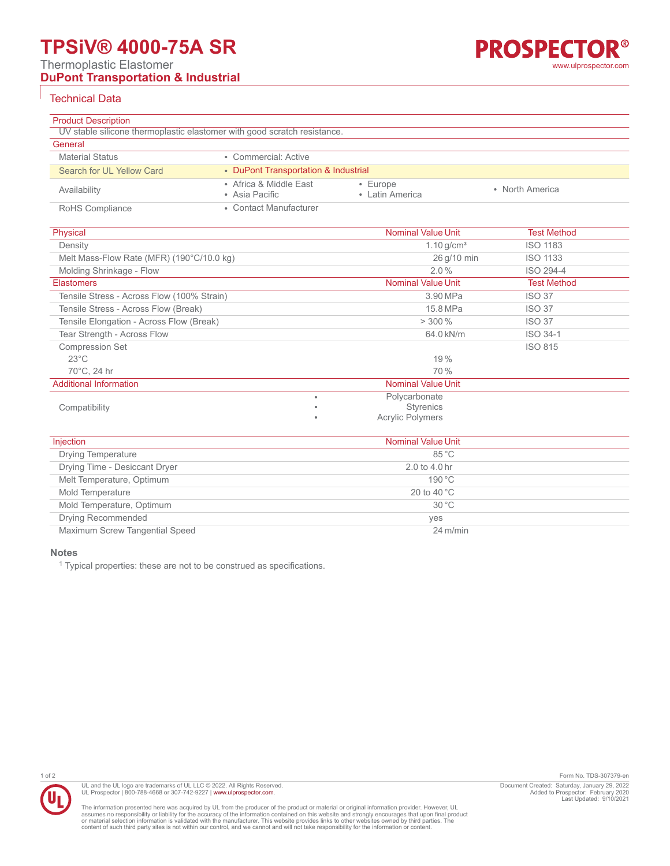# **TPSiV® 4000-75A SR**

Thermoplastic Elastomer

# **DuPont Transportation & Industrial**

## Technical Data

| <b>Product Description</b> |                                                                          |                                   |                 |  |
|----------------------------|--------------------------------------------------------------------------|-----------------------------------|-----------------|--|
|                            | UV stable silicone thermoplastic elastomer with good scratch resistance. |                                   |                 |  |
| General                    |                                                                          |                                   |                 |  |
| <b>Material Status</b>     | • Commercial: Active                                                     |                                   |                 |  |
| Search for UL Yellow Card  | • DuPont Transportation & Industrial                                     |                                   |                 |  |
| Availability               | • Africa & Middle East<br>• Asia Pacific                                 | $\cdot$ Europe<br>• Latin America | • North America |  |
| RoHS Compliance            | • Contact Manufacturer                                                   |                                   |                 |  |

| Physical                                   |   | <b>Nominal Value Unit</b> | <b>Test Method</b> |
|--------------------------------------------|---|---------------------------|--------------------|
| Density                                    |   | 1.10 $q/cm^3$             | <b>ISO 1183</b>    |
| Melt Mass-Flow Rate (MFR) (190°C/10.0 kg)  |   | 26 g/10 min               | <b>ISO 1133</b>    |
| Molding Shrinkage - Flow                   |   | $2.0\%$                   | ISO 294-4          |
| <b>Elastomers</b>                          |   | <b>Nominal Value Unit</b> | <b>Test Method</b> |
| Tensile Stress - Across Flow (100% Strain) |   | 3.90 MPa                  | <b>ISO 37</b>      |
| Tensile Stress - Across Flow (Break)       |   | 15.8 MPa                  | <b>ISO 37</b>      |
| Tensile Elongation - Across Flow (Break)   |   | $> 300\%$                 | <b>ISO 37</b>      |
| Tear Strength - Across Flow                |   | 64.0 kN/m                 | ISO 34-1           |
| <b>Compression Set</b>                     |   |                           | <b>ISO 815</b>     |
| $23^{\circ}$ C                             |   | 19%                       |                    |
| 70°C, 24 hr                                |   | 70 %                      |                    |
| <b>Additional Information</b>              |   | <b>Nominal Value Unit</b> |                    |
|                                            | ٠ | Polycarbonate             |                    |
| Compatibility                              | ٠ | <b>Styrenics</b>          |                    |
|                                            | ٠ | <b>Acrylic Polymers</b>   |                    |

| Injection                      | <b>Nominal Value Unit</b> |
|--------------------------------|---------------------------|
| <b>Drying Temperature</b>      | $85^{\circ}$ C            |
| Drying Time - Desiccant Dryer  | 2.0 to 4.0 hr             |
| Melt Temperature, Optimum      | 190 °C                    |
| Mold Temperature               | 20 to 40 $^{\circ}$ C     |
| Mold Temperature, Optimum      | $30^{\circ}$ C            |
| <b>Drying Recommended</b>      | yes                       |
| Maximum Screw Tangential Speed | $24 \text{ m/min}$        |

#### **Notes**

<sup>1</sup> Typical properties: these are not to be construed as specifications.



UL and the UL logo are trademarks of UL LLC © 2022. All Rights Reserved.<br>UL Prospector | 800-788-4668 or 307-742-9227 | [www.ulprospector.com](http://www.ulprospector.com).

The information presented here was acquired by UL from the producer of the product or material or original information provider. However, UL<br>assumes no responsibility or liability for the accuracy of the information contai